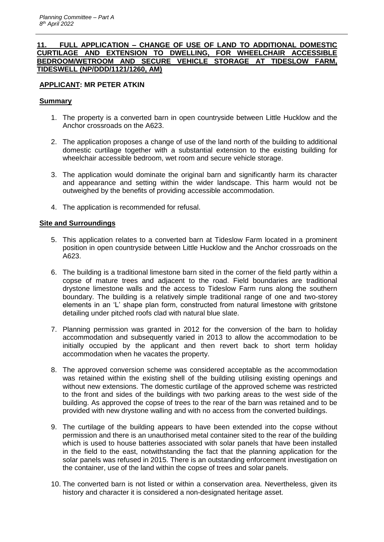## **11. FULL APPLICATION – CHANGE OF USE OF LAND TO ADDITIONAL DOMESTIC CURTILAGE AND EXTENSION TO DWELLING, FOR WHEELCHAIR ACCESSIBLE BEDROOM/WETROOM AND SECURE VEHICLE STORAGE AT TIDESLOW FARM, TIDESWELL (NP/DDD/1121/1260, AM)**

# **APPLICANT: MR PETER ATKIN**

## **Summary**

- 1. The property is a converted barn in open countryside between Little Hucklow and the Anchor crossroads on the A623.
- 2. The application proposes a change of use of the land north of the building to additional domestic curtilage together with a substantial extension to the existing building for wheelchair accessible bedroom, wet room and secure vehicle storage.
- 3. The application would dominate the original barn and significantly harm its character and appearance and setting within the wider landscape. This harm would not be outweighed by the benefits of providing accessible accommodation.
- 4. The application is recommended for refusal.

### **Site and Surroundings**

- 5. This application relates to a converted barn at Tideslow Farm located in a prominent position in open countryside between Little Hucklow and the Anchor crossroads on the A623.
- 6. The building is a traditional limestone barn sited in the corner of the field partly within a copse of mature trees and adjacent to the road. Field boundaries are traditional drystone limestone walls and the access to Tideslow Farm runs along the southern boundary. The building is a relatively simple traditional range of one and two-storey elements in an 'L' shape plan form, constructed from natural limestone with gritstone detailing under pitched roofs clad with natural blue slate.
- 7. Planning permission was granted in 2012 for the conversion of the barn to holiday accommodation and subsequently varied in 2013 to allow the accommodation to be initially occupied by the applicant and then revert back to short term holiday accommodation when he vacates the property.
- 8. The approved conversion scheme was considered acceptable as the accommodation was retained within the existing shell of the building utilising existing openings and without new extensions. The domestic curtilage of the approved scheme was restricted to the front and sides of the buildings with two parking areas to the west side of the building. As approved the copse of trees to the rear of the barn was retained and to be provided with new drystone walling and with no access from the converted buildings.
- 9. The curtilage of the building appears to have been extended into the copse without permission and there is an unauthorised metal container sited to the rear of the building which is used to house batteries associated with solar panels that have been installed in the field to the east, notwithstanding the fact that the planning application for the solar panels was refused in 2015. There is an outstanding enforcement investigation on the container, use of the land within the copse of trees and solar panels.
- 10. The converted barn is not listed or within a conservation area. Nevertheless, given its history and character it is considered a non-designated heritage asset.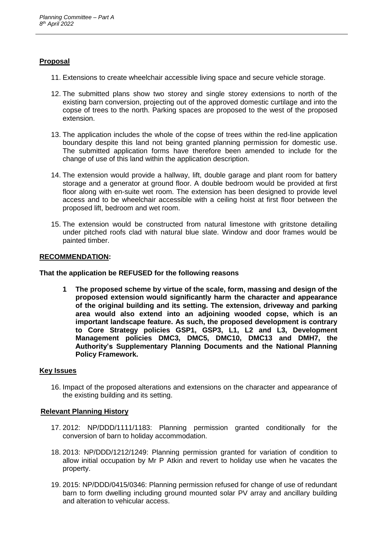# **Proposal**

- 11. Extensions to create wheelchair accessible living space and secure vehicle storage.
- 12. The submitted plans show two storey and single storey extensions to north of the existing barn conversion, projecting out of the approved domestic curtilage and into the copse of trees to the north. Parking spaces are proposed to the west of the proposed extension.
- 13. The application includes the whole of the copse of trees within the red-line application boundary despite this land not being granted planning permission for domestic use. The submitted application forms have therefore been amended to include for the change of use of this land within the application description.
- 14. The extension would provide a hallway, lift, double garage and plant room for battery storage and a generator at ground floor. A double bedroom would be provided at first floor along with en-suite wet room. The extension has been designed to provide level access and to be wheelchair accessible with a ceiling hoist at first floor between the proposed lift, bedroom and wet room.
- 15. The extension would be constructed from natural limestone with gritstone detailing under pitched roofs clad with natural blue slate. Window and door frames would be painted timber.

## **RECOMMENDATION:**

**That the application be REFUSED for the following reasons**

**1 The proposed scheme by virtue of the scale, form, massing and design of the proposed extension would significantly harm the character and appearance of the original building and its setting. The extension, driveway and parking area would also extend into an adjoining wooded copse, which is an important landscape feature. As such, the proposed development is contrary to Core Strategy policies GSP1, GSP3, L1, L2 and L3, Development Management policies DMC3, DMC5, DMC10, DMC13 and DMH7, the Authority's Supplementary Planning Documents and the National Planning Policy Framework.**

# **Key Issues**

16. Impact of the proposed alterations and extensions on the character and appearance of the existing building and its setting.

### **Relevant Planning History**

- 17. 2012: NP/DDD/1111/1183: Planning permission granted conditionally for the conversion of barn to holiday accommodation.
- 18. 2013: NP/DDD/1212/1249: Planning permission granted for variation of condition to allow initial occupation by Mr P Atkin and revert to holiday use when he vacates the property.
- 19. 2015: NP/DDD/0415/0346: Planning permission refused for change of use of redundant barn to form dwelling including ground mounted solar PV array and ancillary building and alteration to vehicular access.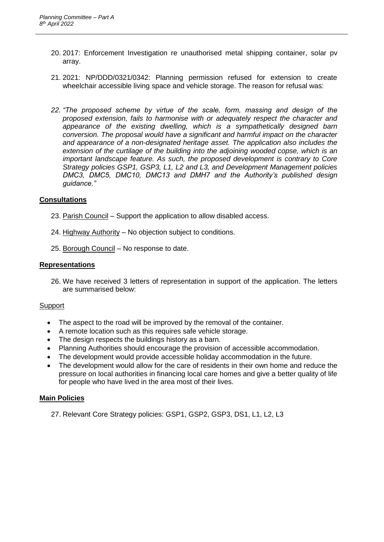- 20. 2017: Enforcement Investigation re unauthorised metal shipping container, solar pv array.
- 21. 2021: NP/DDD/0321/0342: Planning permission refused for extension to create wheelchair accessible living space and vehicle storage. The reason for refusal was:
- *22. "The proposed scheme by virtue of the scale, form, massing and design of the proposed extension, fails to harmonise with or adequately respect the character and appearance of the existing dwelling, which is a sympathetically designed barn conversion. The proposal would have a significant and harmful impact on the character and appearance of a non-designated heritage asset. The application also includes the extension of the curtilage of the building into the adjoining wooded copse, which is an important landscape feature. As such, the proposed development is contrary to Core Strategy policies GSP1, GSP3, L1, L2 and L3, and Development Management policies DMC3, DMC5, DMC10, DMC13 and DMH7 and the Authority's published design guidance."*

# **Consultations**

- 23. Parish Council Support the application to allow disabled access.
- 24. Highway Authority No objection subject to conditions.
- 25. Borough Council No response to date.

## **Representations**

26. We have received 3 letters of representation in support of the application. The letters are summarised below:

### Support

- The aspect to the road will be improved by the removal of the container.
- A remote location such as this requires safe vehicle storage.
- The design respects the buildings history as a barn.
- Planning Authorities should encourage the provision of accessible accommodation.
- The development would provide accessible holiday accommodation in the future.
- The development would allow for the care of residents in their own home and reduce the pressure on local authorities in financing local care homes and give a better quality of life for people who have lived in the area most of their lives.

# **Main Policies**

27. Relevant Core Strategy policies: GSP1, GSP2, GSP3, DS1, L1, L2, L3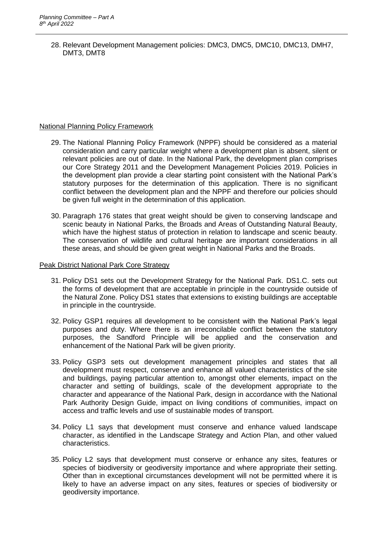28. Relevant Development Management policies: DMC3, DMC5, DMC10, DMC13, DMH7, DMT3, DMT8

# National Planning Policy Framework

- 29. The National Planning Policy Framework (NPPF) should be considered as a material consideration and carry particular weight where a development plan is absent, silent or relevant policies are out of date. In the National Park, the development plan comprises our Core Strategy 2011 and the Development Management Policies 2019. Policies in the development plan provide a clear starting point consistent with the National Park's statutory purposes for the determination of this application. There is no significant conflict between the development plan and the NPPF and therefore our policies should be given full weight in the determination of this application.
- 30. Paragraph 176 states that great weight should be given to conserving landscape and scenic beauty in National Parks, the Broads and Areas of Outstanding Natural Beauty, which have the highest status of protection in relation to landscape and scenic beauty. The conservation of wildlife and cultural heritage are important considerations in all these areas, and should be given great weight in National Parks and the Broads.

# Peak District National Park Core Strategy

- 31. Policy DS1 sets out the Development Strategy for the National Park. DS1.C. sets out the forms of development that are acceptable in principle in the countryside outside of the Natural Zone. Policy DS1 states that extensions to existing buildings are acceptable in principle in the countryside.
- 32. Policy GSP1 requires all development to be consistent with the National Park's legal purposes and duty. Where there is an irreconcilable conflict between the statutory purposes, the Sandford Principle will be applied and the conservation and enhancement of the National Park will be given priority.
- 33. Policy GSP3 sets out development management principles and states that all development must respect, conserve and enhance all valued characteristics of the site and buildings, paying particular attention to, amongst other elements, impact on the character and setting of buildings, scale of the development appropriate to the character and appearance of the National Park, design in accordance with the National Park Authority Design Guide, impact on living conditions of communities, impact on access and traffic levels and use of sustainable modes of transport.
- 34. Policy L1 says that development must conserve and enhance valued landscape character, as identified in the Landscape Strategy and Action Plan, and other valued characteristics.
- 35. Policy L2 says that development must conserve or enhance any sites, features or species of biodiversity or geodiversity importance and where appropriate their setting. Other than in exceptional circumstances development will not be permitted where it is likely to have an adverse impact on any sites, features or species of biodiversity or geodiversity importance.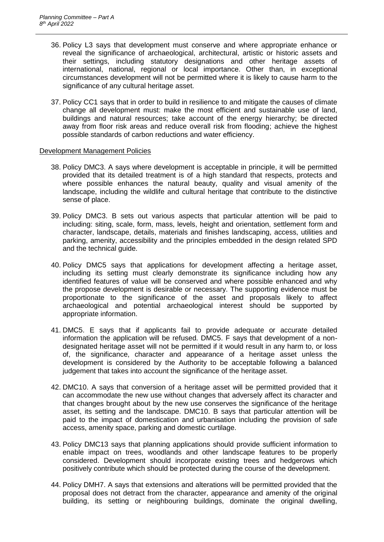- 36. Policy L3 says that development must conserve and where appropriate enhance or reveal the significance of archaeological, architectural, artistic or historic assets and their settings, including statutory designations and other heritage assets of international, national, regional or local importance. Other than, in exceptional circumstances development will not be permitted where it is likely to cause harm to the significance of any cultural heritage asset.
- 37. Policy CC1 says that in order to build in resilience to and mitigate the causes of climate change all development must: make the most efficient and sustainable use of land, buildings and natural resources; take account of the energy hierarchy; be directed away from floor risk areas and reduce overall risk from flooding; achieve the highest possible standards of carbon reductions and water efficiency.

### Development Management Policies

- 38. Policy DMC3. A says where development is acceptable in principle, it will be permitted provided that its detailed treatment is of a high standard that respects, protects and where possible enhances the natural beauty, quality and visual amenity of the landscape, including the wildlife and cultural heritage that contribute to the distinctive sense of place.
- 39. Policy DMC3. B sets out various aspects that particular attention will be paid to including: siting, scale, form, mass, levels, height and orientation, settlement form and character, landscape, details, materials and finishes landscaping, access, utilities and parking, amenity, accessibility and the principles embedded in the design related SPD and the technical guide.
- 40. Policy DMC5 says that applications for development affecting a heritage asset, including its setting must clearly demonstrate its significance including how any identified features of value will be conserved and where possible enhanced and why the propose development is desirable or necessary. The supporting evidence must be proportionate to the significance of the asset and proposals likely to affect archaeological and potential archaeological interest should be supported by appropriate information.
- 41. DMC5. E says that if applicants fail to provide adequate or accurate detailed information the application will be refused. DMC5. F says that development of a nondesignated heritage asset will not be permitted if it would result in any harm to, or loss of, the significance, character and appearance of a heritage asset unless the development is considered by the Authority to be acceptable following a balanced judgement that takes into account the significance of the heritage asset.
- 42. DMC10. A says that conversion of a heritage asset will be permitted provided that it can accommodate the new use without changes that adversely affect its character and that changes brought about by the new use conserves the significance of the heritage asset, its setting and the landscape. DMC10. B says that particular attention will be paid to the impact of domestication and urbanisation including the provision of safe access, amenity space, parking and domestic curtilage.
- 43. Policy DMC13 says that planning applications should provide sufficient information to enable impact on trees, woodlands and other landscape features to be properly considered. Development should incorporate existing trees and hedgerows which positively contribute which should be protected during the course of the development.
- 44. Policy DMH7. A says that extensions and alterations will be permitted provided that the proposal does not detract from the character, appearance and amenity of the original building, its setting or neighbouring buildings, dominate the original dwelling,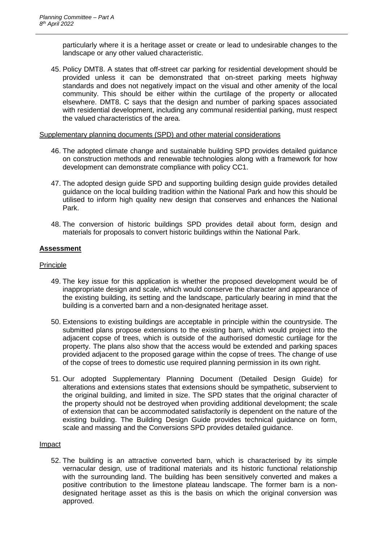particularly where it is a heritage asset or create or lead to undesirable changes to the landscape or any other valued characteristic.

45. Policy DMT8. A states that off-street car parking for residential development should be provided unless it can be demonstrated that on-street parking meets highway standards and does not negatively impact on the visual and other amenity of the local community. This should be either within the curtilage of the property or allocated elsewhere. DMT8. C says that the design and number of parking spaces associated with residential development, including any communal residential parking, must respect the valued characteristics of the area.

### Supplementary planning documents (SPD) and other material considerations

- 46. The adopted climate change and sustainable building SPD provides detailed guidance on construction methods and renewable technologies along with a framework for how development can demonstrate compliance with policy CC1.
- 47. The adopted design guide SPD and supporting building design guide provides detailed guidance on the local building tradition within the National Park and how this should be utilised to inform high quality new design that conserves and enhances the National Park.
- 48. The conversion of historic buildings SPD provides detail about form, design and materials for proposals to convert historic buildings within the National Park.

# **Assessment**

# Principle

- 49. The key issue for this application is whether the proposed development would be of inappropriate design and scale, which would conserve the character and appearance of the existing building, its setting and the landscape, particularly bearing in mind that the building is a converted barn and a non-designated heritage asset.
- 50. Extensions to existing buildings are acceptable in principle within the countryside. The submitted plans propose extensions to the existing barn, which would project into the adjacent copse of trees, which is outside of the authorised domestic curtilage for the property. The plans also show that the access would be extended and parking spaces provided adjacent to the proposed garage within the copse of trees. The change of use of the copse of trees to domestic use required planning permission in its own right.
- 51. Our adopted Supplementary Planning Document (Detailed Design Guide) for alterations and extensions states that extensions should be sympathetic, subservient to the original building, and limited in size. The SPD states that the original character of the property should not be destroyed when providing additional development; the scale of extension that can be accommodated satisfactorily is dependent on the nature of the existing building. The Building Design Guide provides technical guidance on form, scale and massing and the Conversions SPD provides detailed guidance.

# Impact

52. The building is an attractive converted barn, which is characterised by its simple vernacular design, use of traditional materials and its historic functional relationship with the surrounding land. The building has been sensitively converted and makes a positive contribution to the limestone plateau landscape. The former barn is a nondesignated heritage asset as this is the basis on which the original conversion was approved.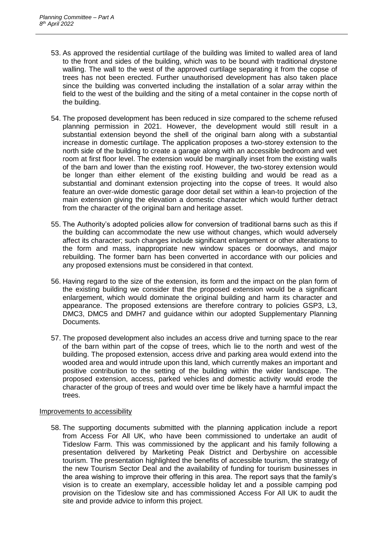- 53. As approved the residential curtilage of the building was limited to walled area of land to the front and sides of the building, which was to be bound with traditional drystone walling. The wall to the west of the approved curtilage separating it from the copse of trees has not been erected. Further unauthorised development has also taken place since the building was converted including the installation of a solar array within the field to the west of the building and the siting of a metal container in the copse north of the building.
- 54. The proposed development has been reduced in size compared to the scheme refused planning permission in 2021. However, the development would still result in a substantial extension beyond the shell of the original barn along with a substantial increase in domestic curtilage. The application proposes a two-storey extension to the north side of the building to create a garage along with an accessible bedroom and wet room at first floor level. The extension would be marginally inset from the existing walls of the barn and lower than the existing roof. However, the two-storey extension would be longer than either element of the existing building and would be read as a substantial and dominant extension projecting into the copse of trees. It would also feature an over-wide domestic garage door detail set within a lean-to projection of the main extension giving the elevation a domestic character which would further detract from the character of the original barn and heritage asset.
- 55. The Authority's adopted policies allow for conversion of traditional barns such as this if the building can accommodate the new use without changes, which would adversely affect its character; such changes include significant enlargement or other alterations to the form and mass, inappropriate new window spaces or doorways, and major rebuilding. The former barn has been converted in accordance with our policies and any proposed extensions must be considered in that context.
- 56. Having regard to the size of the extension, its form and the impact on the plan form of the existing building we consider that the proposed extension would be a significant enlargement, which would dominate the original building and harm its character and appearance. The proposed extensions are therefore contrary to policies GSP3, L3, DMC3, DMC5 and DMH7 and guidance within our adopted Supplementary Planning Documents.
- 57. The proposed development also includes an access drive and turning space to the rear of the barn within part of the copse of trees, which lie to the north and west of the building. The proposed extension, access drive and parking area would extend into the wooded area and would intrude upon this land, which currently makes an important and positive contribution to the setting of the building within the wider landscape. The proposed extension, access, parked vehicles and domestic activity would erode the character of the group of trees and would over time be likely have a harmful impact the trees.

# Improvements to accessibility

58. The supporting documents submitted with the planning application include a report from Access For All UK, who have been commissioned to undertake an audit of Tideslow Farm. This was commissioned by the applicant and his family following a presentation delivered by Marketing Peak District and Derbyshire on accessible tourism. The presentation highlighted the benefits of accessible tourism, the strategy of the new Tourism Sector Deal and the availability of funding for tourism businesses in the area wishing to improve their offering in this area. The report says that the family's vision is to create an exemplary, accessible holiday let and a possible camping pod provision on the Tideslow site and has commissioned Access For All UK to audit the site and provide advice to inform this project.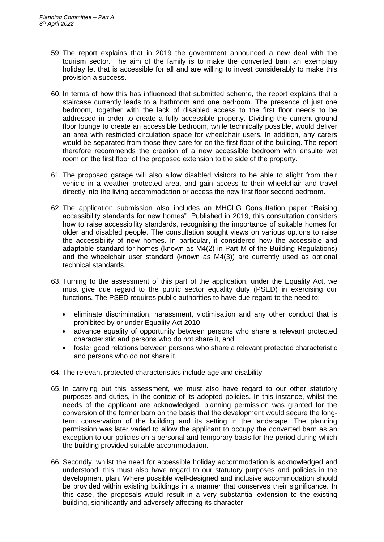- 59. The report explains that in 2019 the government announced a new deal with the tourism sector. The aim of the family is to make the converted barn an exemplary holiday let that is accessible for all and are willing to invest considerably to make this provision a success.
- 60. In terms of how this has influenced that submitted scheme, the report explains that a staircase currently leads to a bathroom and one bedroom. The presence of just one bedroom, together with the lack of disabled access to the first floor needs to be addressed in order to create a fully accessible property. Dividing the current ground floor lounge to create an accessible bedroom, while technically possible, would deliver an area with restricted circulation space for wheelchair users. In addition, any carers would be separated from those they care for on the first floor of the building. The report therefore recommends the creation of a new accessible bedroom with ensuite wet room on the first floor of the proposed extension to the side of the property.
- 61. The proposed garage will also allow disabled visitors to be able to alight from their vehicle in a weather protected area, and gain access to their wheelchair and travel directly into the living accommodation or access the new first floor second bedroom.
- 62. The application submission also includes an MHCLG Consultation paper "Raising accessibility standards for new homes". Published in 2019, this consultation considers how to raise accessibility standards, recognising the importance of suitable homes for older and disabled people. The consultation sought views on various options to raise the accessibility of new homes. In particular, it considered how the accessible and adaptable standard for homes (known as M4(2) in Part M of the Building Regulations) and the wheelchair user standard (known as M4(3)) are currently used as optional technical standards.
- 63. Turning to the assessment of this part of the application, under the Equality Act, we must give due regard to the public sector equality duty (PSED) in exercising our functions. The PSED requires public authorities to have due regard to the need to:
	- eliminate discrimination, harassment, victimisation and any other conduct that is prohibited by or under Equality Act 2010
	- advance equality of opportunity between persons who share a relevant protected characteristic and persons who do not share it, and
	- foster good relations between persons who share a relevant protected characteristic and persons who do not share it.
- 64. The relevant protected characteristics include age and disability.
- 65. In carrying out this assessment, we must also have regard to our other statutory purposes and duties, in the context of its adopted policies. In this instance, whilst the needs of the applicant are acknowledged, planning permission was granted for the conversion of the former barn on the basis that the development would secure the longterm conservation of the building and its setting in the landscape. The planning permission was later varied to allow the applicant to occupy the converted barn as an exception to our policies on a personal and temporary basis for the period during which the building provided suitable accommodation.
- 66. Secondly, whilst the need for accessible holiday accommodation is acknowledged and understood, this must also have regard to our statutory purposes and policies in the development plan. Where possible well-designed and inclusive accommodation should be provided within existing buildings in a manner that conserves their significance. In this case, the proposals would result in a very substantial extension to the existing building, significantly and adversely affecting its character.